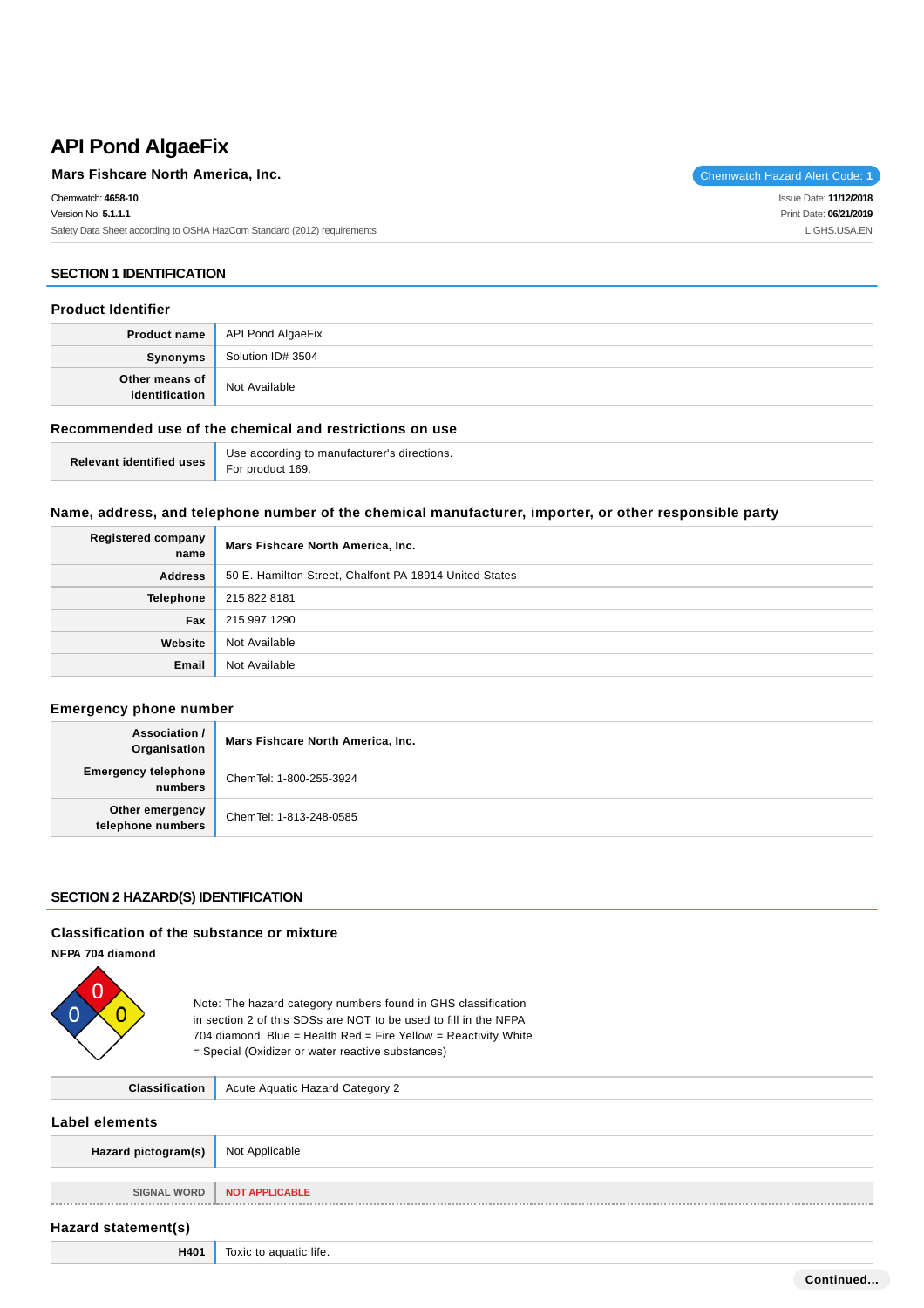# **API Pond AlgaeFix**

| Mars Fishcare North America, Inc.                                       | Chemwatch Hazard Alert Code: 1 |
|-------------------------------------------------------------------------|--------------------------------|
| Chemwatch: 4658-10                                                      | Issue Date: <b>11/12/2018</b>  |
| Version No: 5.1.1.1                                                     | Print Date: 06/21/2019         |
| Safety Data Sheet according to OSHA HazCom Standard (2012) requirements | L.GHS.USA.EN                   |
|                                                                         |                                |

### **SECTION 1 IDENTIFICATION**

#### **Product Identifier**

|                | <b>Product name</b>   API Pond AlgaeFix |
|----------------|-----------------------------------------|
| Synonyms       | Solution ID# 3504                       |
| Other means of | Not Available                           |

### **Recommended use of the chemical and restrictions on use**

| <b>Dolavant identified uses</b> For product 169. | Use according to manufacturer's directions. |
|--------------------------------------------------|---------------------------------------------|
|                                                  |                                             |

### **Name, address, and telephone number of the chemical manufacturer, importer, or other responsible party**

| Registered company<br>name | Mars Fishcare North America, Inc.                      |  |
|----------------------------|--------------------------------------------------------|--|
| <b>Address</b>             | 50 E. Hamilton Street, Chalfont PA 18914 United States |  |
| Telephone                  | 215 822 8181                                           |  |
| Fax                        | 215 997 1290                                           |  |
| Website                    | Not Available                                          |  |
| Email                      | Not Available                                          |  |

### **Emergency phone number**

| Association /<br>Organisation         | Mars Fishcare North America, Inc. |
|---------------------------------------|-----------------------------------|
| <b>Emergency telephone</b><br>numbers | ChemTel: 1-800-255-3924           |
| Other emergency<br>telephone numbers  | ChemTel: 1-813-248-0585           |

### **SECTION 2 HAZARD(S) IDENTIFICATION**

#### **Classification of the substance or mixture**

**NFPA 704 diamond**



Note: The hazard category numbers found in GHS classification in section 2 of this SDSs are NOT to be used to fill in the NFPA 704 diamond. Blue = Health Red = Fire Yellow = Reactivity White = Special (Oxidizer or water reactive substances)

| <b>Classification</b> | <b>Acute Aquatic Hazard Category 2</b> |  |
|-----------------------|----------------------------------------|--|
| <b>Label elements</b> |                                        |  |
| Hazard pictogram(s)   | Not Applicable                         |  |
| <b>SIGNAL WORD</b>    | <b>NOT APPLICABLE</b>                  |  |
| Hazard statement(s)   |                                        |  |
| H401                  | Toxic to aquatic life.                 |  |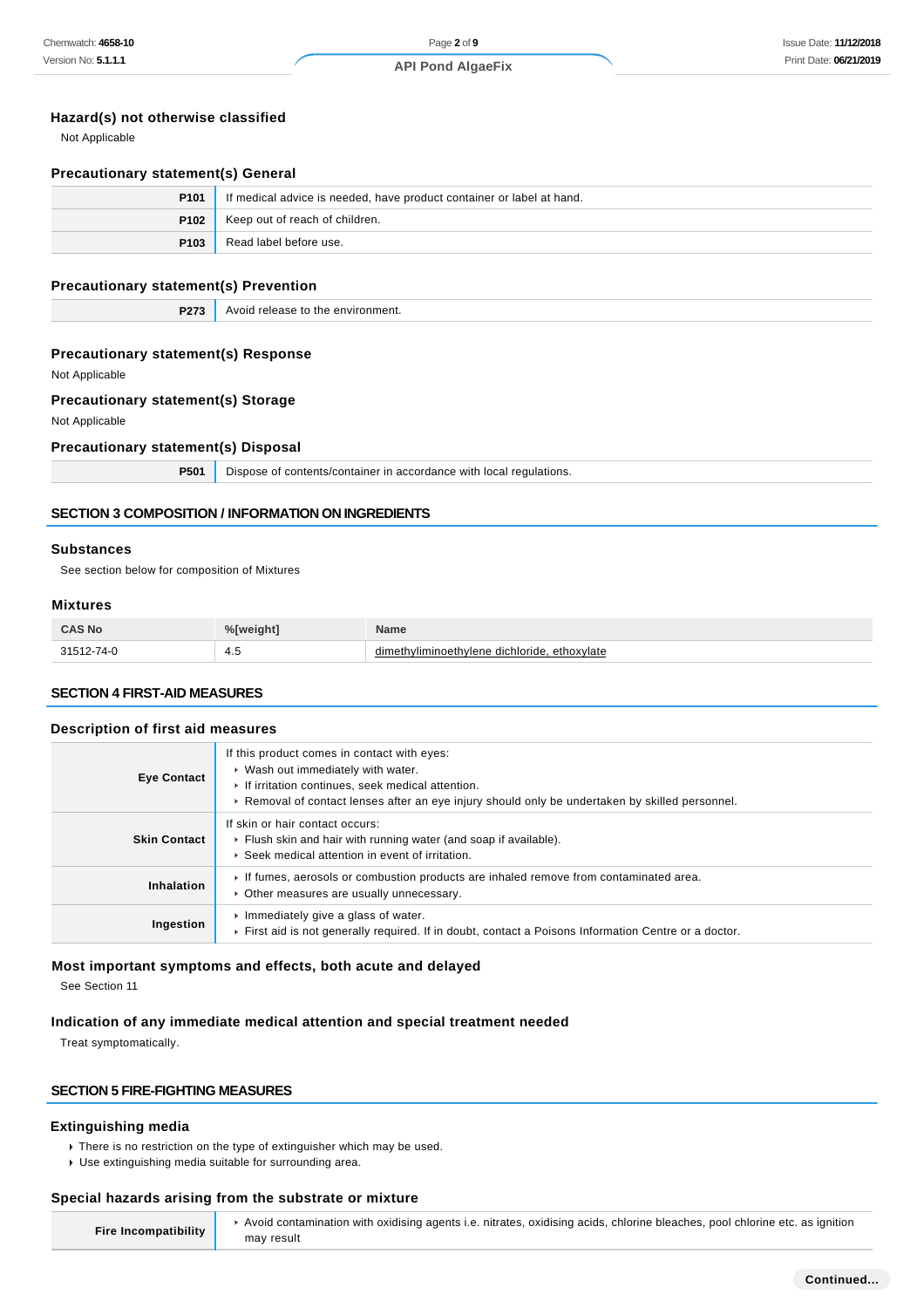### **Hazard(s) not otherwise classified**

Not Applicable

#### **Precautionary statement(s) General**

| P <sub>101</sub> | If medical advice is needed, have product container or label at hand. |  |
|------------------|-----------------------------------------------------------------------|--|
|                  | <b>P102</b> Keep out of reach of children.                            |  |
| P103             | Read label before use.                                                |  |

#### **Precautionary statement(s) Prevention**

**P273** Avoid release to the environment.

#### **Precautionary statement(s) Response**

Not Applicable

### **Precautionary statement(s) Storage**

Not Applicable

#### **Precautionary statement(s) Disposal**

**P501** Dispose of contents/container in accordance with local regulations.

#### **SECTION 3 COMPOSITION / INFORMATION ON INGREDIENTS**

#### **Substances**

See section below for composition of Mixtures

#### **Mixtures**

| CAS No   | $0/$ $\int$ | Name                              |
|----------|-------------|-----------------------------------|
| $\Omega$ | ີ +.ບ       | dimethyliminoethylene dichloride, |
| $\sim$   | $\sim$      | . ethoxvlate                      |

#### **SECTION 4 FIRST-AID MEASURES**

#### **Description of first aid measures**

| <b>Eye Contact</b>  | If this product comes in contact with eyes:<br>▶ Wash out immediately with water.<br>If irritation continues, seek medical attention.<br>► Removal of contact lenses after an eye injury should only be undertaken by skilled personnel. |
|---------------------|------------------------------------------------------------------------------------------------------------------------------------------------------------------------------------------------------------------------------------------|
| <b>Skin Contact</b> | If skin or hair contact occurs:<br>Flush skin and hair with running water (and soap if available).<br>▶ Seek medical attention in event of irritation.                                                                                   |
| Inhalation          | If fumes, aerosols or combustion products are inhaled remove from contaminated area.<br>• Other measures are usually unnecessary.                                                                                                        |
| Ingestion           | Immediately give a glass of water.<br>First aid is not generally required. If in doubt, contact a Poisons Information Centre or a doctor.                                                                                                |

#### **Most important symptoms and effects, both acute and delayed**

See Section 11

#### **Indication of any immediate medical attention and special treatment needed**

Treat symptomatically.

### **SECTION 5 FIRE-FIGHTING MEASURES**

### **Extinguishing media**

There is no restriction on the type of extinguisher which may be used.

may result

Use extinguishing media suitable for surrounding area.

#### **Special hazards arising from the substrate or mixture**

**Fire Incompatibility**

Avoid contamination with oxidising agents i.e. nitrates, oxidising acids, chlorine bleaches, pool chlorine etc. as ignition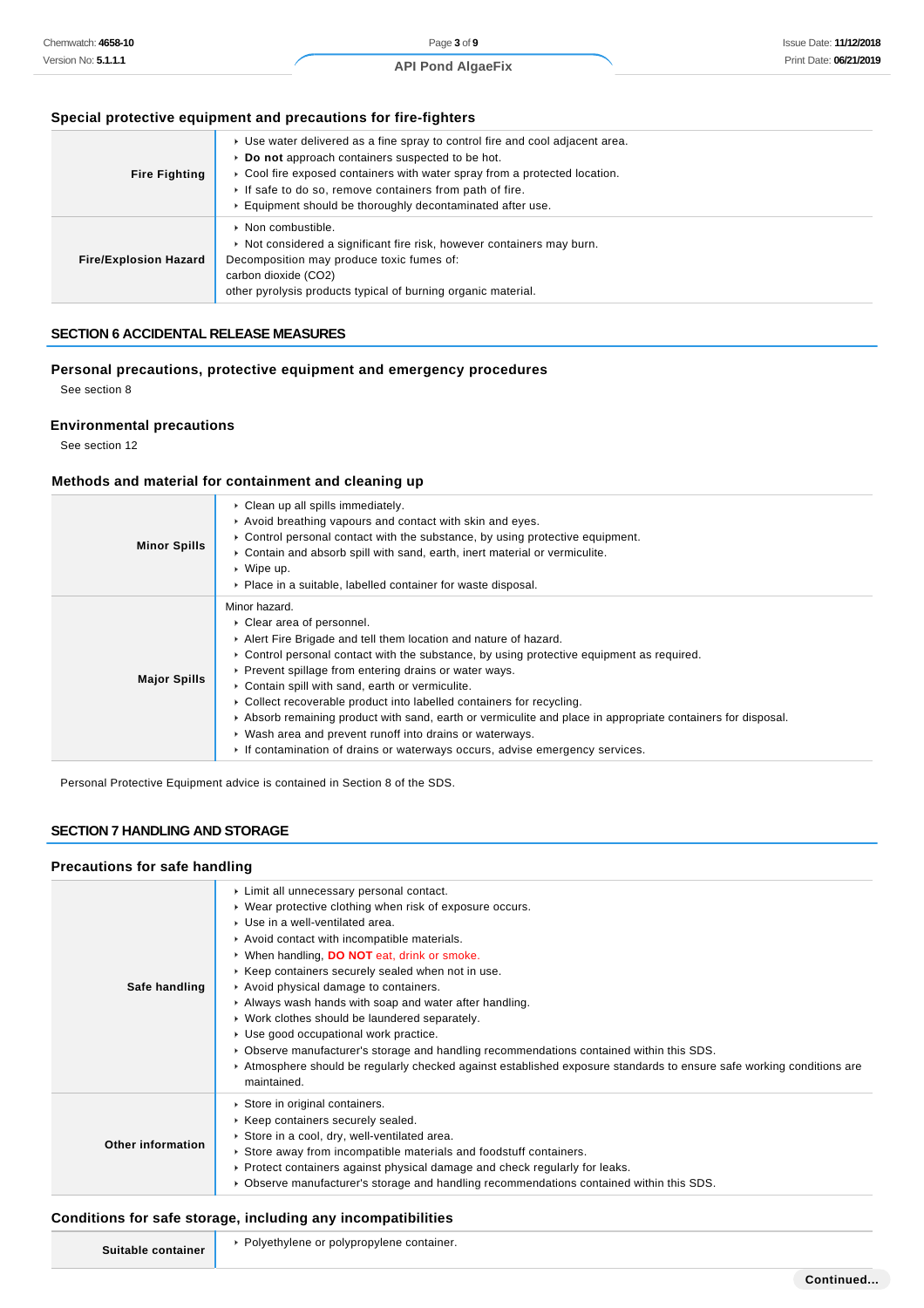# **Special protective equipment and precautions for fire-fighters**

| <b>Fire Fighting</b>         | ► Use water delivered as a fine spray to control fire and cool adjacent area.<br>Do not approach containers suspected to be hot.<br>► Cool fire exposed containers with water spray from a protected location.<br>If safe to do so, remove containers from path of fire.<br>Equipment should be thoroughly decontaminated after use. |
|------------------------------|--------------------------------------------------------------------------------------------------------------------------------------------------------------------------------------------------------------------------------------------------------------------------------------------------------------------------------------|
| <b>Fire/Explosion Hazard</b> | ▶ Non combustible.<br>► Not considered a significant fire risk, however containers may burn.<br>Decomposition may produce toxic fumes of:<br>carbon dioxide (CO2)<br>other pyrolysis products typical of burning organic material.                                                                                                   |

# **SECTION 6 ACCIDENTAL RELEASE MEASURES**

### **Personal precautions, protective equipment and emergency procedures**

See section 8

### **Environmental precautions**

See section 12

### **Methods and material for containment and cleaning up**

| <b>Minor Spills</b> | • Clean up all spills immediately.<br>Avoid breathing vapours and contact with skin and eyes.<br>$\triangleright$ Control personal contact with the substance, by using protective equipment.<br>► Contain and absorb spill with sand, earth, inert material or vermiculite.<br>$\cdot$ Wipe up.<br>• Place in a suitable, labelled container for waste disposal.                                                                                                                                                                                                                                                                                          |
|---------------------|------------------------------------------------------------------------------------------------------------------------------------------------------------------------------------------------------------------------------------------------------------------------------------------------------------------------------------------------------------------------------------------------------------------------------------------------------------------------------------------------------------------------------------------------------------------------------------------------------------------------------------------------------------|
| <b>Major Spills</b> | Minor hazard.<br>▶ Clear area of personnel.<br>Alert Fire Brigade and tell them location and nature of hazard.<br>► Control personal contact with the substance, by using protective equipment as required.<br>▶ Prevent spillage from entering drains or water ways.<br>• Contain spill with sand, earth or vermiculite.<br>► Collect recoverable product into labelled containers for recycling.<br>Absorb remaining product with sand, earth or vermiculite and place in appropriate containers for disposal.<br>• Wash area and prevent runoff into drains or waterways.<br>If contamination of drains or waterways occurs, advise emergency services. |

Personal Protective Equipment advice is contained in Section 8 of the SDS.

### **SECTION 7 HANDLING AND STORAGE**

#### **Precautions for safe handling**

| Safe handling     | ▶ Limit all unnecessary personal contact.<br>• Wear protective clothing when risk of exposure occurs.<br>▶ Use in a well-ventilated area.<br>Avoid contact with incompatible materials.<br>▶ When handling, DO NOT eat, drink or smoke.<br>▶ Keep containers securely sealed when not in use.<br>Avoid physical damage to containers.<br>Always wash hands with soap and water after handling.<br>• Work clothes should be laundered separately.<br>▶ Use good occupational work practice.<br>► Observe manufacturer's storage and handling recommendations contained within this SDS.<br>Atmosphere should be regularly checked against established exposure standards to ensure safe working conditions are<br>maintained. |
|-------------------|------------------------------------------------------------------------------------------------------------------------------------------------------------------------------------------------------------------------------------------------------------------------------------------------------------------------------------------------------------------------------------------------------------------------------------------------------------------------------------------------------------------------------------------------------------------------------------------------------------------------------------------------------------------------------------------------------------------------------|
| Other information | Store in original containers.<br>▶ Keep containers securely sealed.<br>Store in a cool, dry, well-ventilated area.<br>Store away from incompatible materials and foodstuff containers.<br>▶ Protect containers against physical damage and check regularly for leaks.<br>► Observe manufacturer's storage and handling recommendations contained within this SDS.                                                                                                                                                                                                                                                                                                                                                            |

# **Conditions for safe storage, including any incompatibilities**

| Suitable container | - Polyethylene or polypropylene container. |
|--------------------|--------------------------------------------|
|--------------------|--------------------------------------------|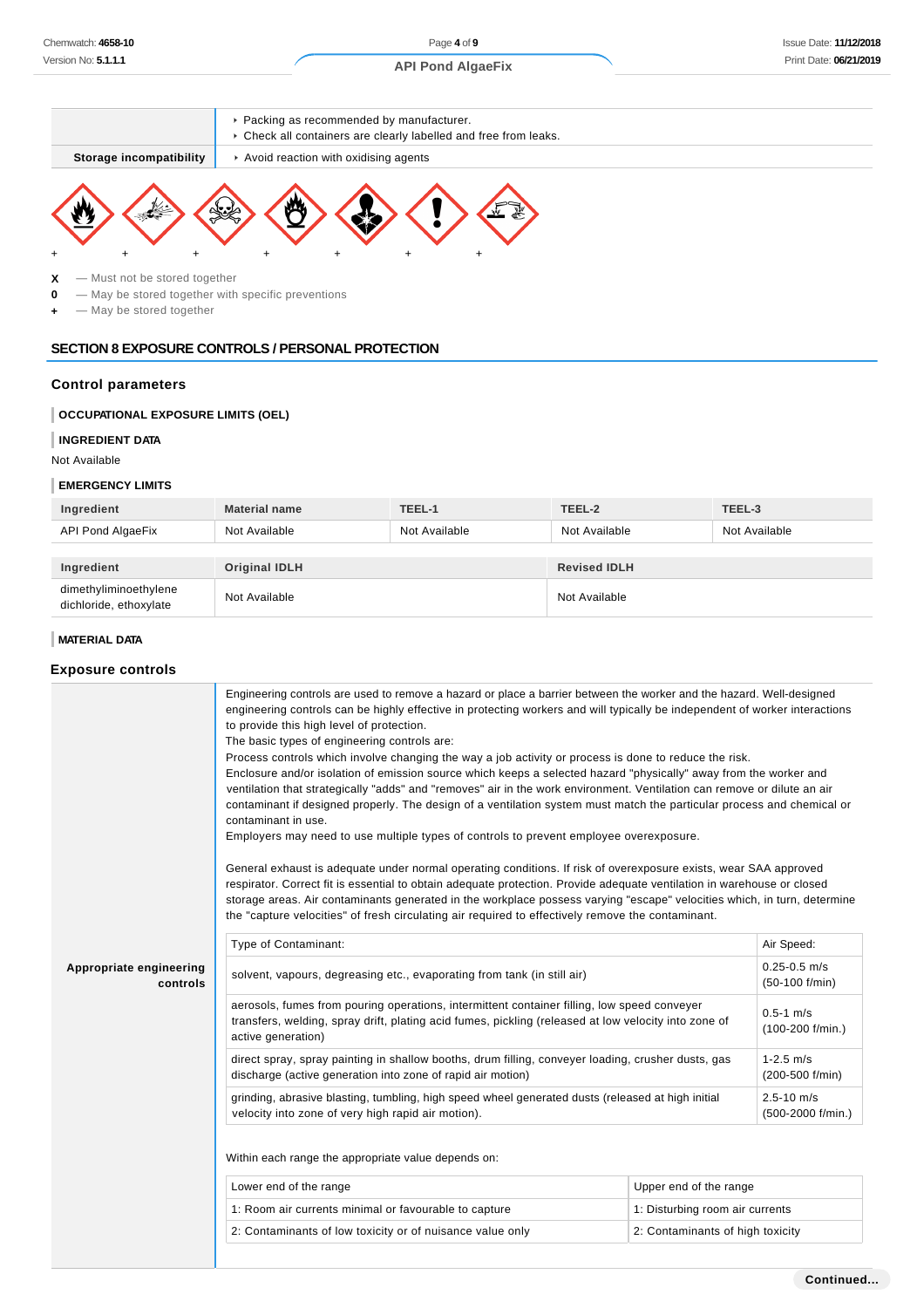

**0** — May be stored together with specific preventions

**+** — May be stored together

### **SECTION 8 EXPOSURE CONTROLS / PERSONAL PROTECTION**

#### **Control parameters**

### **OCCUPATIONAL EXPOSURE LIMITS (OEL)**

#### **INGREDIENT DATA**

Not Available

#### **EMERGENCY LIMITS**

| Ingredient                                      | <b>Material name</b> | TEEL-1        | TEEL-2              | TEEL-3        |
|-------------------------------------------------|----------------------|---------------|---------------------|---------------|
| API Pond AlgaeFix                               | Not Available        | Not Available | Not Available       | Not Available |
|                                                 |                      |               |                     |               |
| Ingredient                                      | Original IDLH        |               | <b>Revised IDLH</b> |               |
| dimethyliminoethylene<br>dichloride, ethoxylate | Not Available        |               | Not Available       |               |

#### **MATERIAL DATA**

### **Exposure controls**

|                                     | Engineering controls are used to remove a hazard or place a barrier between the worker and the hazard. Well-designed<br>engineering controls can be highly effective in protecting workers and will typically be independent of worker interactions<br>to provide this high level of protection.<br>The basic types of engineering controls are:<br>Process controls which involve changing the way a job activity or process is done to reduce the risk.<br>Enclosure and/or isolation of emission source which keeps a selected hazard "physically" away from the worker and<br>ventilation that strategically "adds" and "removes" air in the work environment. Ventilation can remove or dilute an air<br>contaminant if designed properly. The design of a ventilation system must match the particular process and chemical or<br>contaminant in use.<br>Employers may need to use multiple types of controls to prevent employee overexposure.<br>General exhaust is adequate under normal operating conditions. If risk of overexposure exists, wear SAA approved<br>respirator. Correct fit is essential to obtain adequate protection. Provide adequate ventilation in warehouse or closed<br>storage areas. Air contaminants generated in the workplace possess varying "escape" velocities which, in turn, determine<br>the "capture velocities" of fresh circulating air required to effectively remove the contaminant. |                                      |                                       |  |
|-------------------------------------|---------------------------------------------------------------------------------------------------------------------------------------------------------------------------------------------------------------------------------------------------------------------------------------------------------------------------------------------------------------------------------------------------------------------------------------------------------------------------------------------------------------------------------------------------------------------------------------------------------------------------------------------------------------------------------------------------------------------------------------------------------------------------------------------------------------------------------------------------------------------------------------------------------------------------------------------------------------------------------------------------------------------------------------------------------------------------------------------------------------------------------------------------------------------------------------------------------------------------------------------------------------------------------------------------------------------------------------------------------------------------------------------------------------------------------------|--------------------------------------|---------------------------------------|--|
|                                     | Type of Contaminant:                                                                                                                                                                                                                                                                                                                                                                                                                                                                                                                                                                                                                                                                                                                                                                                                                                                                                                                                                                                                                                                                                                                                                                                                                                                                                                                                                                                                                  |                                      | Air Speed:                            |  |
| Appropriate engineering<br>controls | solvent, vapours, degreasing etc., evaporating from tank (in still air)                                                                                                                                                                                                                                                                                                                                                                                                                                                                                                                                                                                                                                                                                                                                                                                                                                                                                                                                                                                                                                                                                                                                                                                                                                                                                                                                                               |                                      | $0.25 - 0.5$ m/s<br>$(50-100)$ f/min) |  |
|                                     | aerosols, fumes from pouring operations, intermittent container filling, low speed conveyer<br>transfers, welding, spray drift, plating acid fumes, pickling (released at low velocity into zone of<br>active generation)                                                                                                                                                                                                                                                                                                                                                                                                                                                                                                                                                                                                                                                                                                                                                                                                                                                                                                                                                                                                                                                                                                                                                                                                             | $0.5 - 1$ m/s<br>$(100-200)$ f/min.) |                                       |  |
|                                     | direct spray, spray painting in shallow booths, drum filling, conveyer loading, crusher dusts, gas<br>discharge (active generation into zone of rapid air motion)                                                                                                                                                                                                                                                                                                                                                                                                                                                                                                                                                                                                                                                                                                                                                                                                                                                                                                                                                                                                                                                                                                                                                                                                                                                                     |                                      | $1 - 2.5$ m/s<br>(200-500 f/min)      |  |
|                                     | grinding, abrasive blasting, tumbling, high speed wheel generated dusts (released at high initial<br>velocity into zone of very high rapid air motion).                                                                                                                                                                                                                                                                                                                                                                                                                                                                                                                                                                                                                                                                                                                                                                                                                                                                                                                                                                                                                                                                                                                                                                                                                                                                               |                                      | $2.5 - 10$ m/s<br>(500-2000 f/min.)   |  |
|                                     | Within each range the appropriate value depends on:                                                                                                                                                                                                                                                                                                                                                                                                                                                                                                                                                                                                                                                                                                                                                                                                                                                                                                                                                                                                                                                                                                                                                                                                                                                                                                                                                                                   |                                      |                                       |  |
|                                     | Lower end of the range<br>Upper end of the range                                                                                                                                                                                                                                                                                                                                                                                                                                                                                                                                                                                                                                                                                                                                                                                                                                                                                                                                                                                                                                                                                                                                                                                                                                                                                                                                                                                      |                                      |                                       |  |
|                                     | 1: Room air currents minimal or favourable to capture                                                                                                                                                                                                                                                                                                                                                                                                                                                                                                                                                                                                                                                                                                                                                                                                                                                                                                                                                                                                                                                                                                                                                                                                                                                                                                                                                                                 | 1: Disturbing room air currents      |                                       |  |
|                                     | 2: Contaminants of low toxicity or of nuisance value only                                                                                                                                                                                                                                                                                                                                                                                                                                                                                                                                                                                                                                                                                                                                                                                                                                                                                                                                                                                                                                                                                                                                                                                                                                                                                                                                                                             | 2: Contaminants of high toxicity     |                                       |  |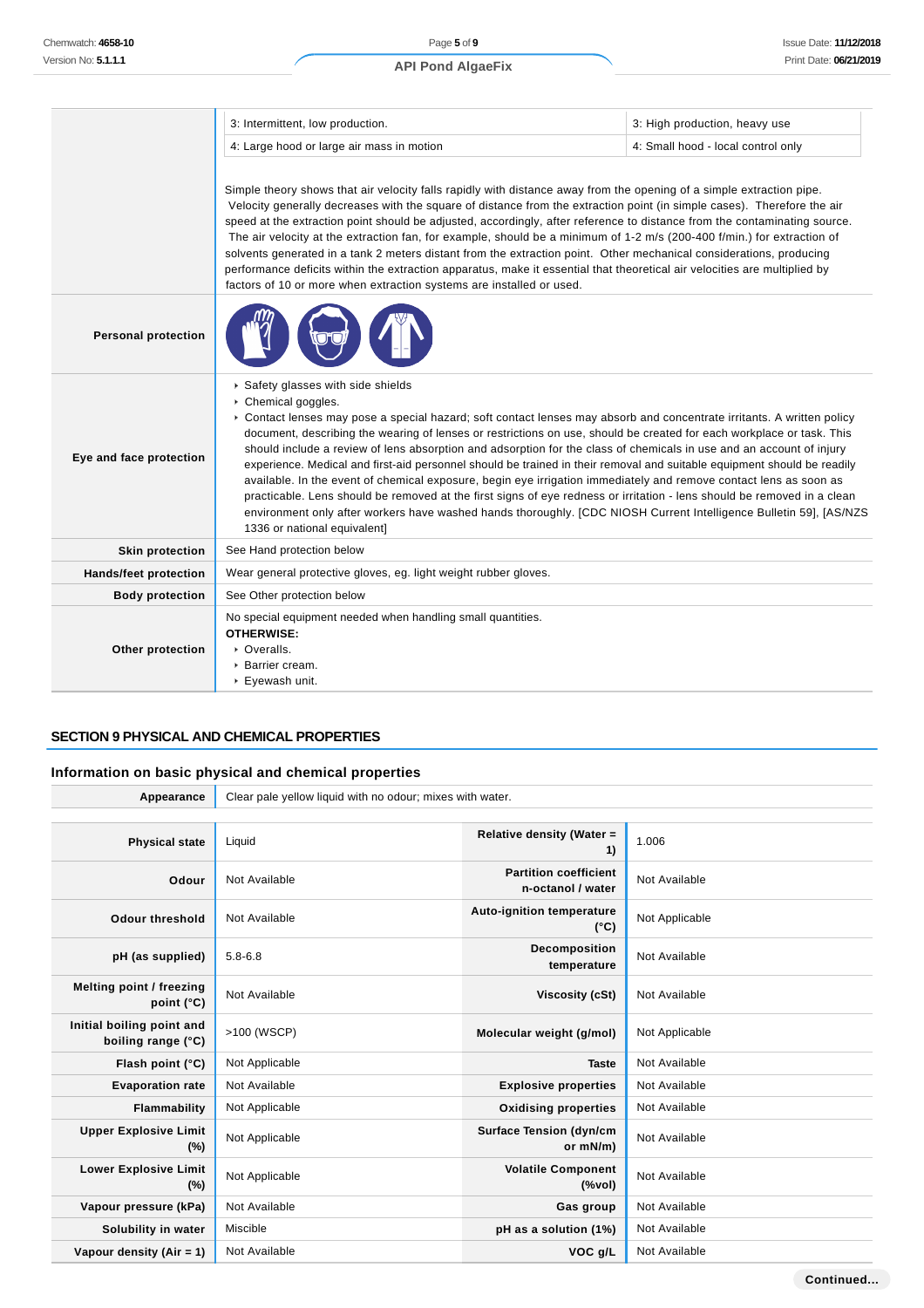### **API Pond AlgaeFix**

|                              | 3: Intermittent, low production.                                                                                                                                                                                                                                                                                                                                                                                                                                                                                                                                                                                                                                                                                                                                                                                                                                                                                                                                  | 3: High production, heavy use      |  |  |
|------------------------------|-------------------------------------------------------------------------------------------------------------------------------------------------------------------------------------------------------------------------------------------------------------------------------------------------------------------------------------------------------------------------------------------------------------------------------------------------------------------------------------------------------------------------------------------------------------------------------------------------------------------------------------------------------------------------------------------------------------------------------------------------------------------------------------------------------------------------------------------------------------------------------------------------------------------------------------------------------------------|------------------------------------|--|--|
|                              | 4: Large hood or large air mass in motion                                                                                                                                                                                                                                                                                                                                                                                                                                                                                                                                                                                                                                                                                                                                                                                                                                                                                                                         | 4: Small hood - local control only |  |  |
|                              | Simple theory shows that air velocity falls rapidly with distance away from the opening of a simple extraction pipe.<br>Velocity generally decreases with the square of distance from the extraction point (in simple cases). Therefore the air<br>speed at the extraction point should be adjusted, accordingly, after reference to distance from the contaminating source.<br>The air velocity at the extraction fan, for example, should be a minimum of 1-2 m/s (200-400 f/min.) for extraction of<br>solvents generated in a tank 2 meters distant from the extraction point. Other mechanical considerations, producing<br>performance deficits within the extraction apparatus, make it essential that theoretical air velocities are multiplied by<br>factors of 10 or more when extraction systems are installed or used.                                                                                                                                |                                    |  |  |
| <b>Personal protection</b>   |                                                                                                                                                                                                                                                                                                                                                                                                                                                                                                                                                                                                                                                                                                                                                                                                                                                                                                                                                                   |                                    |  |  |
| Eye and face protection      | Safety glasses with side shields<br>Chemical goggles.<br>• Contact lenses may pose a special hazard; soft contact lenses may absorb and concentrate irritants. A written policy<br>document, describing the wearing of lenses or restrictions on use, should be created for each workplace or task. This<br>should include a review of lens absorption and adsorption for the class of chemicals in use and an account of injury<br>experience. Medical and first-aid personnel should be trained in their removal and suitable equipment should be readily<br>available. In the event of chemical exposure, begin eye irrigation immediately and remove contact lens as soon as<br>practicable. Lens should be removed at the first signs of eye redness or irritation - lens should be removed in a clean<br>environment only after workers have washed hands thoroughly. [CDC NIOSH Current Intelligence Bulletin 59], [AS/NZS<br>1336 or national equivalent] |                                    |  |  |
| <b>Skin protection</b>       | See Hand protection below                                                                                                                                                                                                                                                                                                                                                                                                                                                                                                                                                                                                                                                                                                                                                                                                                                                                                                                                         |                                    |  |  |
| <b>Hands/feet protection</b> | Wear general protective gloves, eg. light weight rubber gloves.                                                                                                                                                                                                                                                                                                                                                                                                                                                                                                                                                                                                                                                                                                                                                                                                                                                                                                   |                                    |  |  |
| <b>Body protection</b>       | See Other protection below                                                                                                                                                                                                                                                                                                                                                                                                                                                                                                                                                                                                                                                                                                                                                                                                                                                                                                                                        |                                    |  |  |
| Other protection             | No special equipment needed when handling small quantities.<br><b>OTHERWISE:</b><br>• Overalls.<br>▶ Barrier cream.<br>▶ Eyewash unit.                                                                                                                                                                                                                                                                                                                                                                                                                                                                                                                                                                                                                                                                                                                                                                                                                            |                                    |  |  |

# **SECTION 9 PHYSICAL AND CHEMICAL PROPERTIES**

# **Information on basic physical and chemical properties**

| Appearance                                      | Clear pale yellow liquid with no odour; mixes with water. |                                                   |                |
|-------------------------------------------------|-----------------------------------------------------------|---------------------------------------------------|----------------|
|                                                 |                                                           |                                                   |                |
| <b>Physical state</b>                           | Liquid                                                    | Relative density (Water =<br>1)                   | 1.006          |
| Odour                                           | Not Available                                             | <b>Partition coefficient</b><br>n-octanol / water | Not Available  |
| Odour threshold                                 | Not Available                                             | <b>Auto-ignition temperature</b><br>$(^{\circ}C)$ | Not Applicable |
| pH (as supplied)                                | $5.8 - 6.8$                                               | Decomposition<br>temperature                      | Not Available  |
| Melting point / freezing<br>point $(^{\circ}C)$ | Not Available                                             | Viscosity (cSt)                                   | Not Available  |
| Initial boiling point and<br>boiling range (°C) | >100 (WSCP)                                               | Molecular weight (g/mol)                          | Not Applicable |
| Flash point (°C)                                | Not Applicable                                            | <b>Taste</b>                                      | Not Available  |
| <b>Evaporation rate</b>                         | Not Available                                             | <b>Explosive properties</b>                       | Not Available  |
| Flammability                                    | Not Applicable                                            | <b>Oxidising properties</b>                       | Not Available  |
| <b>Upper Explosive Limit</b><br>(%)             | Not Applicable                                            | <b>Surface Tension (dyn/cm</b><br>or mN/m)        | Not Available  |
| <b>Lower Explosive Limit</b><br>$(\%)$          | Not Applicable                                            | <b>Volatile Component</b><br>(%                   | Not Available  |
| Vapour pressure (kPa)                           | Not Available                                             | Gas group                                         | Not Available  |
| Solubility in water                             | Miscible                                                  | pH as a solution (1%)                             | Not Available  |
| Vapour density (Air = 1)                        | Not Available                                             | VOC g/L                                           | Not Available  |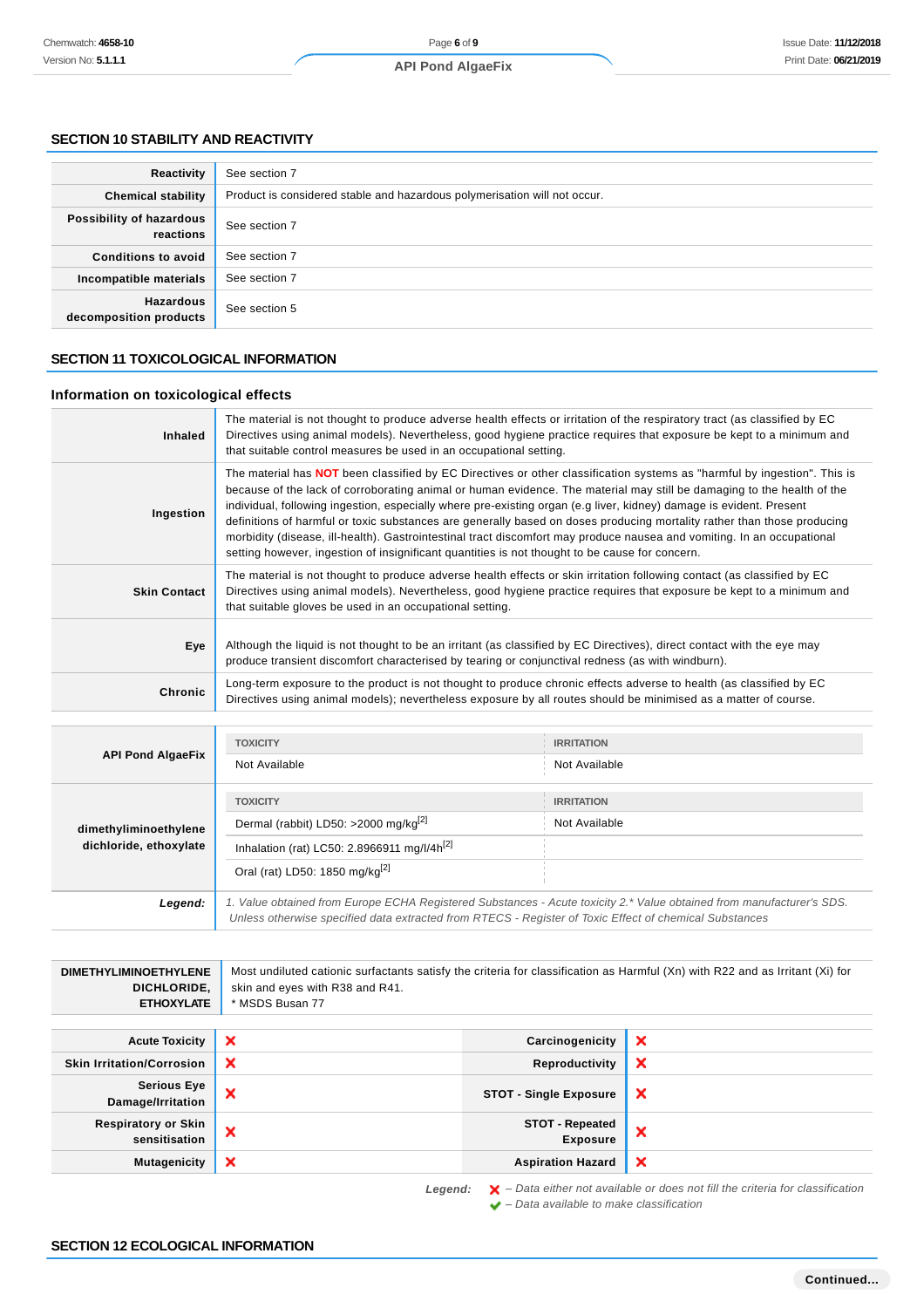#### **SECTION 10 STABILITY AND REACTIVITY**

| Reactivity                                 | See section 7                                                             |
|--------------------------------------------|---------------------------------------------------------------------------|
| <b>Chemical stability</b>                  | Product is considered stable and hazardous polymerisation will not occur. |
| Possibility of hazardous<br>reactions      | See section 7                                                             |
| <b>Conditions to avoid</b>                 | See section 7                                                             |
| Incompatible materials                     | See section 7                                                             |
| <b>Hazardous</b><br>decomposition products | See section 5                                                             |

### **SECTION 11 TOXICOLOGICAL INFORMATION**

### **Information on toxicological effects**

| Inhaled             | The material is not thought to produce adverse health effects or irritation of the respiratory tract (as classified by EC<br>Directives using animal models). Nevertheless, good hygiene practice requires that exposure be kept to a minimum and<br>that suitable control measures be used in an occupational setting.                                                                                                                                                                                                                                                                                                                                                                                                                 |
|---------------------|-----------------------------------------------------------------------------------------------------------------------------------------------------------------------------------------------------------------------------------------------------------------------------------------------------------------------------------------------------------------------------------------------------------------------------------------------------------------------------------------------------------------------------------------------------------------------------------------------------------------------------------------------------------------------------------------------------------------------------------------|
| Ingestion           | The material has <b>NOT</b> been classified by EC Directives or other classification systems as "harmful by ingestion". This is<br>because of the lack of corroborating animal or human evidence. The material may still be damaging to the health of the<br>individual, following ingestion, especially where pre-existing organ (e.g liver, kidney) damage is evident. Present<br>definitions of harmful or toxic substances are generally based on doses producing mortality rather than those producing<br>morbidity (disease, ill-health). Gastrointestinal tract discomfort may produce nausea and vomiting. In an occupational<br>setting however, ingestion of insignificant quantities is not thought to be cause for concern. |
| <b>Skin Contact</b> | The material is not thought to produce adverse health effects or skin irritation following contact (as classified by EC<br>Directives using animal models). Nevertheless, good hygiene practice requires that exposure be kept to a minimum and<br>that suitable gloves be used in an occupational setting.                                                                                                                                                                                                                                                                                                                                                                                                                             |
| Eye                 | Although the liquid is not thought to be an irritant (as classified by EC Directives), direct contact with the eye may<br>produce transient discomfort characterised by tearing or conjunctival redness (as with windburn).                                                                                                                                                                                                                                                                                                                                                                                                                                                                                                             |
| Chronic             | Long-term exposure to the product is not thought to produce chronic effects adverse to health (as classified by EC<br>Directives using animal models); nevertheless exposure by all routes should be minimised as a matter of course.                                                                                                                                                                                                                                                                                                                                                                                                                                                                                                   |

| <b>API Pond AlgaeFix</b>                        | <b>TOXICITY</b>                                                                                                                                                                                                                 | <b>IRRITATION</b> |
|-------------------------------------------------|---------------------------------------------------------------------------------------------------------------------------------------------------------------------------------------------------------------------------------|-------------------|
|                                                 | Not Available                                                                                                                                                                                                                   | Not Available     |
|                                                 | <b>TOXICITY</b>                                                                                                                                                                                                                 | <b>IRRITATION</b> |
| dimethyliminoethylene<br>dichloride, ethoxylate | Dermal (rabbit) LD50: >2000 mg/kg <sup>[2]</sup>                                                                                                                                                                                | Not Available     |
|                                                 | Inhalation (rat) LC50: 2.8966911 mg/l/4 $h^{[2]}$                                                                                                                                                                               |                   |
|                                                 | Oral (rat) LD50: 1850 mg/kg <sup>[2]</sup>                                                                                                                                                                                      |                   |
| Legend:                                         | 1. Value obtained from Europe ECHA Registered Substances - Acute toxicity 2.* Value obtained from manufacturer's SDS.<br>Unless otherwise specified data extracted from RTECS - Register of Toxic Effect of chemical Substances |                   |

| <b>DIMETHYLIMINOETHYLENE</b><br>DICHLORIDE,<br><b>ETHOXYLATE</b> | Most undiluted cationic surfactants satisfy the criteria for classification as Harmful (Xn) with R22 and as Irritant (Xi) for<br>skin and eyes with R38 and R41.<br>* MSDS Busan 77 |                                           |                           |
|------------------------------------------------------------------|-------------------------------------------------------------------------------------------------------------------------------------------------------------------------------------|-------------------------------------------|---------------------------|
| <b>Acute Toxicity</b>                                            | ×                                                                                                                                                                                   | Carcinogenicity                           | $\boldsymbol{\mathsf{x}}$ |
| <b>Skin Irritation/Corrosion</b>                                 | ×                                                                                                                                                                                   | Reproductivity                            | $\boldsymbol{\mathsf{x}}$ |
| <b>Serious Eye</b><br>Damage/Irritation                          | ×                                                                                                                                                                                   | <b>STOT - Single Exposure</b>             | $\boldsymbol{\mathsf{x}}$ |
| <b>Respiratory or Skin</b><br>sensitisation                      | ×                                                                                                                                                                                   | <b>STOT - Repeated</b><br><b>Exposure</b> | $\boldsymbol{\mathsf{x}}$ |
| <b>Mutagenicity</b>                                              | ×                                                                                                                                                                                   | <b>Aspiration Hazard</b>                  | $\boldsymbol{\mathsf{x}}$ |

Legend:  $\mathsf{X}$  - Data either not available or does not fill the criteria for classification  $\blacktriangleright$  – Data available to make classification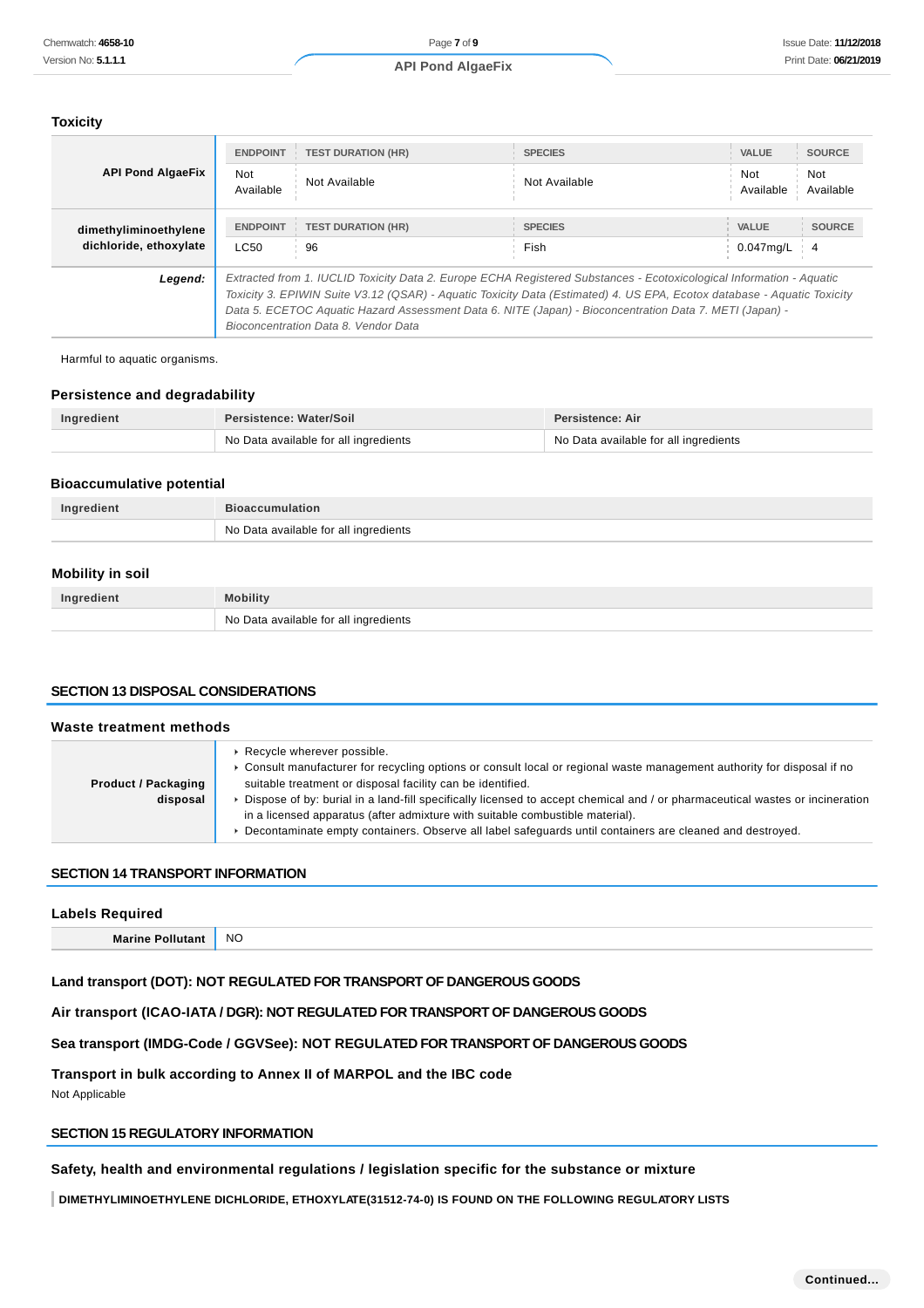### **Toxicity**

| Chemwatch: 4658-10                                |                                                                                                                                                                                                                                                                                                                                                                                                    | Page 7 of 9                                                                                                                                                                 |                         |                                                                                                                                                                                                                                                                                                                                                                         | <b>Issue Date: 11/12/20</b> |  |
|---------------------------------------------------|----------------------------------------------------------------------------------------------------------------------------------------------------------------------------------------------------------------------------------------------------------------------------------------------------------------------------------------------------------------------------------------------------|-----------------------------------------------------------------------------------------------------------------------------------------------------------------------------|-------------------------|-------------------------------------------------------------------------------------------------------------------------------------------------------------------------------------------------------------------------------------------------------------------------------------------------------------------------------------------------------------------------|-----------------------------|--|
| Version No: 5.1.1.1                               |                                                                                                                                                                                                                                                                                                                                                                                                    | <b>API Pond AlgaeFix</b>                                                                                                                                                    |                         |                                                                                                                                                                                                                                                                                                                                                                         | Print Date: 06/21/20        |  |
|                                                   |                                                                                                                                                                                                                                                                                                                                                                                                    |                                                                                                                                                                             |                         |                                                                                                                                                                                                                                                                                                                                                                         |                             |  |
| <b>Toxicity</b>                                   |                                                                                                                                                                                                                                                                                                                                                                                                    |                                                                                                                                                                             |                         |                                                                                                                                                                                                                                                                                                                                                                         |                             |  |
|                                                   | <b>ENDPOINT</b>                                                                                                                                                                                                                                                                                                                                                                                    | <b>TEST DURATION (HR)</b>                                                                                                                                                   | <b>SPECIES</b>          | <b>VALUE</b>                                                                                                                                                                                                                                                                                                                                                            | <b>SOURCE</b>               |  |
| <b>API Pond AlgaeFix</b>                          | Not                                                                                                                                                                                                                                                                                                                                                                                                |                                                                                                                                                                             |                         | Not                                                                                                                                                                                                                                                                                                                                                                     | Not                         |  |
|                                                   | Available                                                                                                                                                                                                                                                                                                                                                                                          | Not Available                                                                                                                                                               | Not Available           | Available                                                                                                                                                                                                                                                                                                                                                               | Available                   |  |
| dimethyliminoethylene                             | <b>ENDPOINT</b>                                                                                                                                                                                                                                                                                                                                                                                    | <b>TEST DURATION (HR)</b>                                                                                                                                                   | <b>SPECIES</b>          | <b>VALUE</b>                                                                                                                                                                                                                                                                                                                                                            | <b>SOURCE</b>               |  |
| dichloride, ethoxylate                            | LC50                                                                                                                                                                                                                                                                                                                                                                                               | 96                                                                                                                                                                          | Fish                    | $0.047$ mg/L                                                                                                                                                                                                                                                                                                                                                            | $\overline{4}$              |  |
| Legend:                                           | Extracted from 1. IUCLID Toxicity Data 2. Europe ECHA Registered Substances - Ecotoxicological Information - Aquatic<br>Toxicity 3. EPIWIN Suite V3.12 (QSAR) - Aquatic Toxicity Data (Estimated) 4. US EPA, Ecotox database - Aquatic Toxicity<br>Data 5. ECETOC Aquatic Hazard Assessment Data 6. NITE (Japan) - Bioconcentration Data 7. METI (Japan) -<br>Bioconcentration Data 8. Vendor Data |                                                                                                                                                                             |                         |                                                                                                                                                                                                                                                                                                                                                                         |                             |  |
| Harmful to aquatic organisms.                     |                                                                                                                                                                                                                                                                                                                                                                                                    |                                                                                                                                                                             |                         |                                                                                                                                                                                                                                                                                                                                                                         |                             |  |
| <b>Persistence and degradability</b>              |                                                                                                                                                                                                                                                                                                                                                                                                    |                                                                                                                                                                             |                         |                                                                                                                                                                                                                                                                                                                                                                         |                             |  |
| Ingredient                                        | Persistence: Water/Soil                                                                                                                                                                                                                                                                                                                                                                            | No Data available for all ingredients                                                                                                                                       | <b>Persistence: Air</b> | No Data available for all ingredients                                                                                                                                                                                                                                                                                                                                   |                             |  |
|                                                   |                                                                                                                                                                                                                                                                                                                                                                                                    |                                                                                                                                                                             |                         |                                                                                                                                                                                                                                                                                                                                                                         |                             |  |
| <b>Bioaccumulative potential</b>                  |                                                                                                                                                                                                                                                                                                                                                                                                    |                                                                                                                                                                             |                         |                                                                                                                                                                                                                                                                                                                                                                         |                             |  |
| Ingredient                                        | <b>Bioaccumulation</b>                                                                                                                                                                                                                                                                                                                                                                             |                                                                                                                                                                             |                         |                                                                                                                                                                                                                                                                                                                                                                         |                             |  |
|                                                   |                                                                                                                                                                                                                                                                                                                                                                                                    | No Data available for all ingredients                                                                                                                                       |                         |                                                                                                                                                                                                                                                                                                                                                                         |                             |  |
| <b>Mobility in soil</b>                           |                                                                                                                                                                                                                                                                                                                                                                                                    |                                                                                                                                                                             |                         |                                                                                                                                                                                                                                                                                                                                                                         |                             |  |
| Ingredient                                        | <b>Mobility</b>                                                                                                                                                                                                                                                                                                                                                                                    |                                                                                                                                                                             |                         |                                                                                                                                                                                                                                                                                                                                                                         |                             |  |
|                                                   |                                                                                                                                                                                                                                                                                                                                                                                                    | No Data available for all ingredients                                                                                                                                       |                         |                                                                                                                                                                                                                                                                                                                                                                         |                             |  |
| <b>SECTION 13 DISPOSAL CONSIDERATIONS</b>         |                                                                                                                                                                                                                                                                                                                                                                                                    |                                                                                                                                                                             |                         |                                                                                                                                                                                                                                                                                                                                                                         |                             |  |
| Waste treatment methods                           |                                                                                                                                                                                                                                                                                                                                                                                                    |                                                                                                                                                                             |                         |                                                                                                                                                                                                                                                                                                                                                                         |                             |  |
| <b>Product / Packaging</b><br>disposal            |                                                                                                                                                                                                                                                                                                                                                                                                    | ▶ Recycle wherever possible.<br>suitable treatment or disposal facility can be identified.<br>in a licensed apparatus (after admixture with suitable combustible material). |                         | ► Consult manufacturer for recycling options or consult local or regional waste management authority for disposal if no<br>▶ Dispose of by: burial in a land-fill specifically licensed to accept chemical and / or pharmaceutical wastes or incineration<br>▶ Decontaminate empty containers. Observe all label safeguards until containers are cleaned and destroyed. |                             |  |
| <b>SECTION 14 TRANSPORT INFORMATION</b>           |                                                                                                                                                                                                                                                                                                                                                                                                    |                                                                                                                                                                             |                         |                                                                                                                                                                                                                                                                                                                                                                         |                             |  |
|                                                   |                                                                                                                                                                                                                                                                                                                                                                                                    |                                                                                                                                                                             |                         |                                                                                                                                                                                                                                                                                                                                                                         |                             |  |
| <b>Labels Required</b><br><b>Marine Pollutant</b> | <b>NO</b>                                                                                                                                                                                                                                                                                                                                                                                          |                                                                                                                                                                             |                         |                                                                                                                                                                                                                                                                                                                                                                         |                             |  |
|                                                   |                                                                                                                                                                                                                                                                                                                                                                                                    |                                                                                                                                                                             |                         |                                                                                                                                                                                                                                                                                                                                                                         |                             |  |
|                                                   |                                                                                                                                                                                                                                                                                                                                                                                                    | Land transport (DOT): NOT REGULATED FOR TRANSPORT OF DANGEROUS GOODS                                                                                                        |                         |                                                                                                                                                                                                                                                                                                                                                                         |                             |  |
|                                                   |                                                                                                                                                                                                                                                                                                                                                                                                    | Air transport (ICAO-IATA / DGR): NOT REGULATED FOR TRANSPORT OF DANGEROUS GOODS                                                                                             |                         |                                                                                                                                                                                                                                                                                                                                                                         |                             |  |
|                                                   |                                                                                                                                                                                                                                                                                                                                                                                                    | Sea transport (IMDG-Code / GGVSee): NOT REGULATED FOR TRANSPORT OF DANGEROUS GOODS                                                                                          |                         |                                                                                                                                                                                                                                                                                                                                                                         |                             |  |
| Not Applicable                                    |                                                                                                                                                                                                                                                                                                                                                                                                    | Transport in bulk according to Annex II of MARPOL and the IBC code                                                                                                          |                         |                                                                                                                                                                                                                                                                                                                                                                         |                             |  |
| SECTION 15 REGULATORY INFORMATION                 |                                                                                                                                                                                                                                                                                                                                                                                                    |                                                                                                                                                                             |                         |                                                                                                                                                                                                                                                                                                                                                                         |                             |  |
|                                                   |                                                                                                                                                                                                                                                                                                                                                                                                    | Safety, health and environmental regulations / legislation specific for the substance or mixture                                                                            |                         |                                                                                                                                                                                                                                                                                                                                                                         |                             |  |
|                                                   |                                                                                                                                                                                                                                                                                                                                                                                                    | DIMETHYLIMINOETHYLENE DICHLORIDE, ETHOXYLATE(31512-74-0) IS FOUND ON THE FOLLOWING REGULATORY LISTS                                                                         |                         |                                                                                                                                                                                                                                                                                                                                                                         |                             |  |

#### **Persistence and degradability**

| Ingredient | <b>Persistence: Water/Soil</b>        | <b>Persistence: Air</b>               |
|------------|---------------------------------------|---------------------------------------|
|            | No Data available for all ingredients | No Data available for all ingredients |

#### **Bioaccumulative potential**

| Ingredient | <b>Bioaccumulation</b>                |
|------------|---------------------------------------|
|            | No Data available for all ingredients |

### **Mobility in soil**

| Ingredient | Mobility                              |
|------------|---------------------------------------|
|            | No Data available for all ingredients |

### **SECTION 13 DISPOSAL CONSIDERATIONS**

| Waste treatment methods                |                                                                                                                                                                                                                                                                                                                                                                                                                                                                                                                                                      |
|----------------------------------------|------------------------------------------------------------------------------------------------------------------------------------------------------------------------------------------------------------------------------------------------------------------------------------------------------------------------------------------------------------------------------------------------------------------------------------------------------------------------------------------------------------------------------------------------------|
| <b>Product / Packaging</b><br>disposal | ▶ Recycle wherever possible.<br>► Consult manufacturer for recycling options or consult local or regional waste management authority for disposal if no<br>suitable treatment or disposal facility can be identified.<br>▶ Dispose of by: burial in a land-fill specifically licensed to accept chemical and / or pharmaceutical wastes or incineration<br>in a licensed apparatus (after admixture with suitable combustible material).<br>Decontaminate empty containers. Observe all label safeguards until containers are cleaned and destroyed. |

### **SECTION 14 TRANSPORT INFORMATION**

| <b>Labels Required</b>  |           |
|-------------------------|-----------|
| <b>Marine Pollutant</b> | <b>NO</b> |

### **SECTION 15 REGULATORY INFORMATION**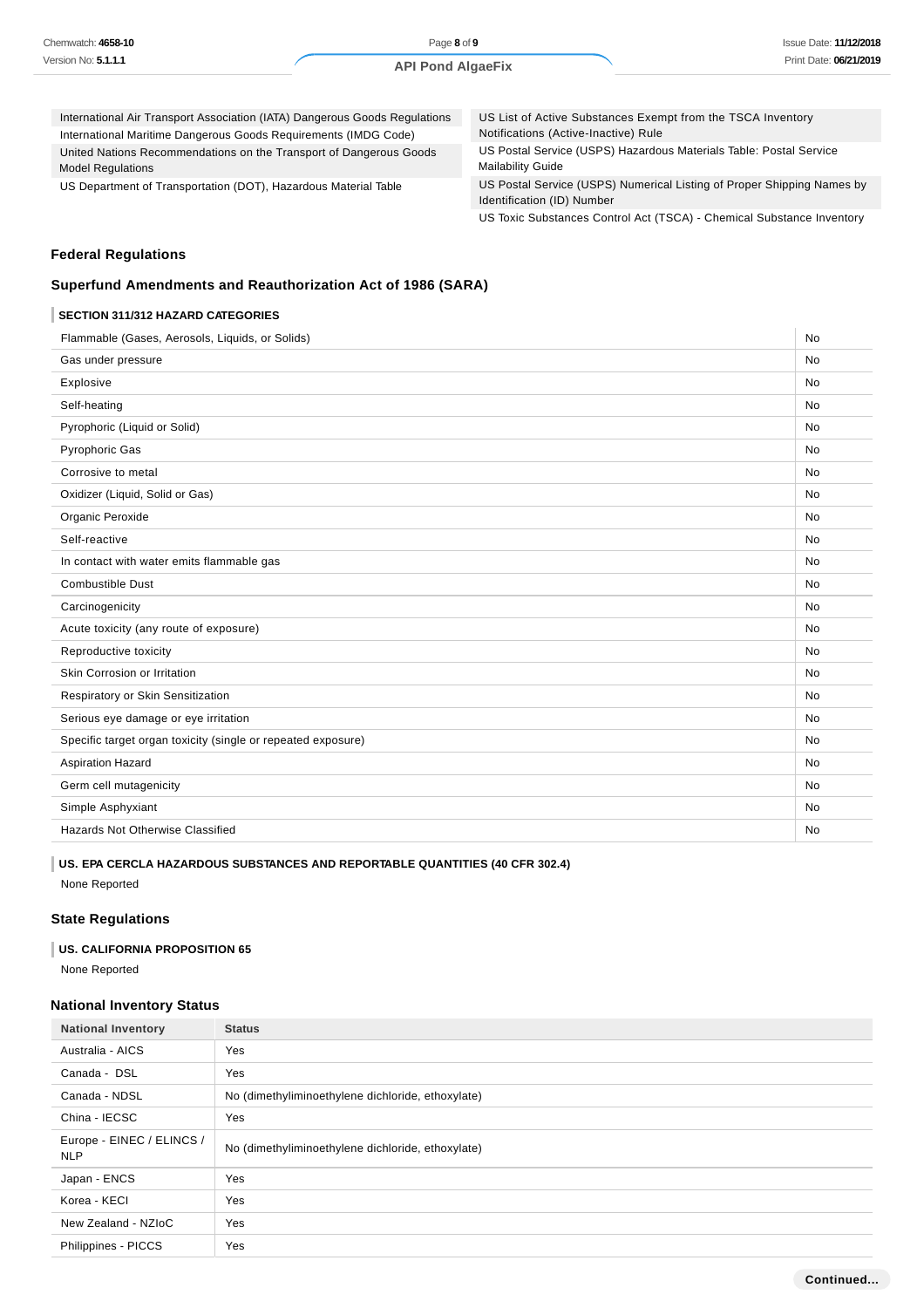| Chemwatch: 4658-10  |
|---------------------|
| Version No: 5.1.1.1 |

Page **8** of **9 API Pond AlgaeFix**

| International Air Transport Association (IATA) Dangerous Goods Regulations                     | US List of Active Substances Exempt from the TSCA Inventory                                          |
|------------------------------------------------------------------------------------------------|------------------------------------------------------------------------------------------------------|
| International Maritime Dangerous Goods Requirements (IMDG Code)                                | Notifications (Active-Inactive) Rule                                                                 |
| United Nations Recommendations on the Transport of Dangerous Goods<br><b>Model Regulations</b> | US Postal Service (USPS) Hazardous Materials Table: Postal Service<br><b>Mailability Guide</b>       |
| US Department of Transportation (DOT), Hazardous Material Table                                | US Postal Service (USPS) Numerical Listing of Proper Shipping Names by<br>Identification (ID) Number |

US Toxic Substances Control Act (TSCA) - Chemical Substance Inventory

### **Federal Regulations**

# **Superfund Amendments and Reauthorization Act of 1986 (SARA)**

### **SECTION 311/312 HAZARD CATEGORIES**

| Flammable (Gases, Aerosols, Liquids, or Solids)              | No        |
|--------------------------------------------------------------|-----------|
| Gas under pressure                                           | <b>No</b> |
| Explosive                                                    | <b>No</b> |
| Self-heating                                                 | <b>No</b> |
| Pyrophoric (Liquid or Solid)                                 | <b>No</b> |
| <b>Pyrophoric Gas</b>                                        | <b>No</b> |
| Corrosive to metal                                           | No        |
| Oxidizer (Liquid, Solid or Gas)                              | <b>No</b> |
| Organic Peroxide                                             | No        |
| Self-reactive                                                | <b>No</b> |
| In contact with water emits flammable gas                    | <b>No</b> |
| <b>Combustible Dust</b>                                      | <b>No</b> |
| Carcinogenicity                                              | <b>No</b> |
| Acute toxicity (any route of exposure)                       | <b>No</b> |
| Reproductive toxicity                                        | No        |
| Skin Corrosion or Irritation                                 | <b>No</b> |
| Respiratory or Skin Sensitization                            | <b>No</b> |
| Serious eye damage or eye irritation                         | <b>No</b> |
| Specific target organ toxicity (single or repeated exposure) | <b>No</b> |
| <b>Aspiration Hazard</b>                                     | <b>No</b> |
| Germ cell mutagenicity                                       | <b>No</b> |
| Simple Asphyxiant                                            | <b>No</b> |
| <b>Hazards Not Otherwise Classified</b>                      | <b>No</b> |
|                                                              |           |

# **US. EPA CERCLA HAZARDOUS SUBSTANCES AND REPORTABLE QUANTITIES (40 CFR 302.4)**

None Reported

### **State Regulations**

#### **US. CALIFORNIA PROPOSITION 65**

None Reported

### **National Inventory Status**

| <b>National Inventory</b>               | <b>Status</b>                                     |
|-----------------------------------------|---------------------------------------------------|
| Australia - AICS                        | Yes                                               |
| Canada - DSL                            | Yes                                               |
| Canada - NDSL                           | No (dimethyliminoethylene dichloride, ethoxylate) |
| China - IECSC                           | <b>Yes</b>                                        |
| Europe - EINEC / ELINCS /<br><b>NLP</b> | No (dimethyliminoethylene dichloride, ethoxylate) |
| Japan - ENCS                            | <b>Yes</b>                                        |
| Korea - KECI                            | Yes                                               |
| New Zealand - NZIoC                     | Yes                                               |
| Philippines - PICCS                     | Yes                                               |